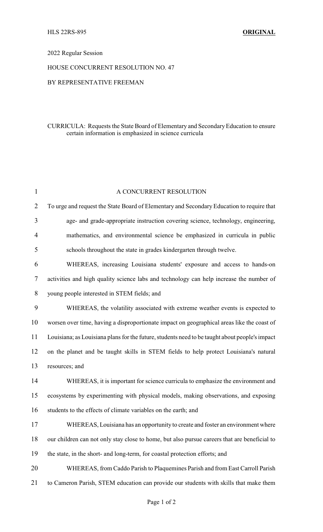## 2022 Regular Session

#### HOUSE CONCURRENT RESOLUTION NO. 47

### BY REPRESENTATIVE FREEMAN

## CURRICULA: Requests the State Board of Elementary and SecondaryEducation to ensure certain information is emphasized in science curricula

| $\mathbf{1}$   | A CONCURRENT RESOLUTION                                                                        |
|----------------|------------------------------------------------------------------------------------------------|
| $\overline{2}$ | To urge and request the State Board of Elementary and Secondary Education to require that      |
| 3              | age- and grade-appropriate instruction covering science, technology, engineering,              |
| 4              | mathematics, and environmental science be emphasized in curricula in public                    |
| 5              | schools throughout the state in grades kindergarten through twelve.                            |
| 6              | WHEREAS, increasing Louisiana students' exposure and access to hands-on                        |
| 7              | activities and high quality science labs and technology can help increase the number of        |
| 8              | young people interested in STEM fields; and                                                    |
| 9              | WHEREAS, the volatility associated with extreme weather events is expected to                  |
| 10             | worsen over time, having a disproportionate impact on geographical areas like the coast of     |
| 11             | Louisiana; as Louisiana plans for the future, students need to be taught about people's impact |
| 12             | on the planet and be taught skills in STEM fields to help protect Louisiana's natural          |
| 13             | resources; and                                                                                 |
| 14             | WHEREAS, it is important for science curricula to emphasize the environment and                |
| 15             | ecosystems by experimenting with physical models, making observations, and exposing            |
| 16             | students to the effects of climate variables on the earth; and                                 |
| 17             | WHEREAS, Louisiana has an opportunity to create and foster an environment where                |
| 18             | our children can not only stay close to home, but also pursue careers that are beneficial to   |
| 19             | the state, in the short- and long-term, for coastal protection efforts; and                    |
| 20             | WHEREAS, from Caddo Parish to Plaquemines Parish and from East Carroll Parish                  |
| 21             | to Cameron Parish, STEM education can provide our students with skills that make them          |